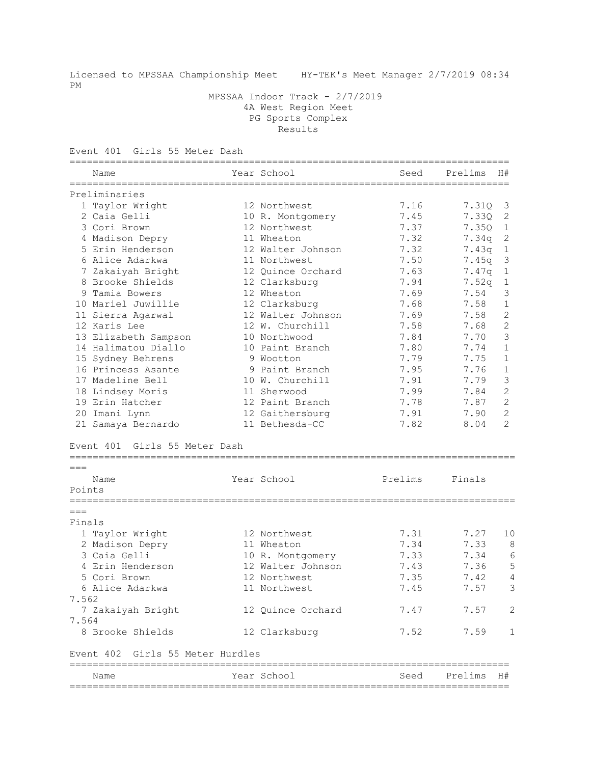Licensed to MPSSAA Championship Meet HY-TEK's Meet Manager 2/7/2019 08:34 PM

 MPSSAA Indoor Track - 2/7/2019 4A West Region Meet PG Sports Complex Results

Event 401 Girls 55 Meter Dash

| ==========<br>Name                        | ======================== | Year School       | -------------------------------<br>Seed | Prelims | H#             |
|-------------------------------------------|--------------------------|-------------------|-----------------------------------------|---------|----------------|
| Preliminaries                             |                          |                   |                                         |         |                |
| 1 Taylor Wright                           |                          | 12 Northwest      | 7.16                                    | 7.31Q   | 3              |
| 2 Caia Gelli                              |                          | 10 R. Montgomery  | 7.45                                    | 7.330   | 2              |
| 3 Cori Brown                              |                          | 12 Northwest      | 7.37                                    | 7.35Q   | $\mathbf{1}$   |
| 4 Madison Depry                           |                          | 11 Wheaton        | 7.32                                    | 7.34q   | $\mathbf{2}$   |
| 5 Erin Henderson                          |                          | 12 Walter Johnson | 7.32                                    | 7.43q   | $\mathbf 1$    |
| 6 Alice Adarkwa                           |                          | 11 Northwest      | 7.50                                    | 7.45q   | $\mathfrak{Z}$ |
| 7 Zakaiyah Bright                         |                          | 12 Ouince Orchard | 7.63                                    | 7.47q   | $\mathbf{1}$   |
| 8 Brooke Shields                          |                          | 12 Clarksburg     | 7.94                                    | 7.52q   | $\mathbf{1}$   |
| 9 Tamia Bowers                            |                          | 12 Wheaton        | 7.69                                    | 7.54    | 3              |
| 10 Mariel Juwillie                        |                          | 12 Clarksburg     | 7.68                                    | 7.58    | 1              |
| 11 Sierra Agarwal                         |                          | 12 Walter Johnson | 7.69                                    | 7.58    | 2              |
| 12 Karis Lee                              |                          | 12 W. Churchill   | 7.58                                    | 7.68    | $\overline{c}$ |
| 13 Elizabeth Sampson                      |                          | 10 Northwood      | 7.84                                    | 7.70    | $\mathcal{S}$  |
| 14 Halimatou Diallo                       |                          | 10 Paint Branch   | 7.80                                    | 7.74    | $\mathbf{1}$   |
| 15 Sydney Behrens                         |                          | 9 Wootton         | 7.79                                    | 7.75    | 1              |
| 16 Princess Asante                        |                          | 9 Paint Branch    | 7.95                                    | 7.76    | 1              |
| 17 Madeline Bell                          |                          | 10 W. Churchill   | 7.91                                    | 7.79    | 3              |
| 18 Lindsey Moris                          |                          | 11 Sherwood       | 7.99                                    | 7.84    | 2              |
| 19 Erin Hatcher                           |                          | 12 Paint Branch   | 7.78                                    | 7.87    | 2              |
| 20 Imani Lynn                             |                          | 12 Gaithersburg   | 7.91                                    | 7.90    | 2              |
| 21 Samaya Bernardo                        |                          | 11 Bethesda-CC    | 7.82                                    | 8.04    | $\overline{2}$ |
| Girls 55 Meter Dash<br>Event 401<br>$===$ |                          | ----------------- |                                         |         |                |
| Name<br>Points                            |                          | Year School       | Prelims                                 | Finals  |                |
| $===$                                     |                          |                   |                                         |         |                |
| Finals                                    |                          |                   |                                         |         |                |
| 1 Taylor Wright                           |                          | 12 Northwest      | 7.31                                    | 7.27    | 10             |
| 2 Madison Depry                           |                          | 11 Wheaton        | 7.34                                    | 7.33    | 8              |
| 3 Caia Gelli                              |                          | 10 R. Montgomery  | 7.33                                    | 7.34    | 6              |
| 4 Erin Henderson                          |                          | 12 Walter Johnson | 7.43                                    | 7.36    | 5              |
| 5 Cori Brown                              |                          | 12 Northwest      | 7.35                                    | 7.42    | 4              |
| 6 Alice Adarkwa                           |                          | 11 Northwest      | 7.45                                    | 7.57    | 3              |
| 7.562                                     |                          |                   |                                         |         |                |
| 7 Zakaiyah Bright                         |                          | 12 Quince Orchard | 7.47                                    | 7.57    | 2              |
| 7.564                                     |                          |                   |                                         |         |                |
| 8 Brooke Shields                          |                          | 12 Clarksburg     | 7.52                                    | 7.59    | 1              |
| Event 402 Girls 55 Meter Hurdles          |                          |                   |                                         |         |                |
| Name                                      |                          | Year School       | Seed                                    | Prelims | H#             |

============================================================================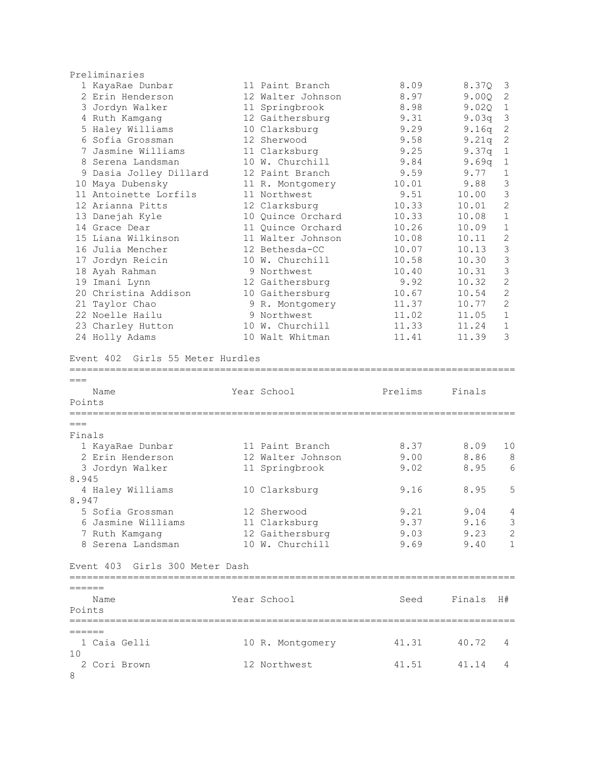|          | Preliminaries                        |                                    |         |        |                 |
|----------|--------------------------------------|------------------------------------|---------|--------|-----------------|
|          | 1 KayaRae Dunbar                     | 11 Paint Branch                    | 8.09    | 8.37Q  | 3               |
|          | 2 Erin Henderson                     | 12 Walter Johnson                  | 8.97    | 9.00Q  | 2               |
|          | 3 Jordyn Walker                      | 11 Springbrook                     | 8.98    | 9.02Q  | $\mathbf{1}$    |
|          | 4 Ruth Kamgang                       | 12 Gaithersburg                    | 9.31    | 9.03q  | 3               |
|          | 5 Haley Williams                     | 10 Clarksburg                      | 9.29    | 9.16q  | $\sqrt{2}$      |
|          | 6 Sofia Grossman                     | 12 Sherwood                        | 9.58    | 9.21q  | $\mathbf{2}$    |
|          | 7 Jasmine Williams                   | 11 Clarksburg                      | 9.25    | 9.37q  | $1\,$           |
|          | 8 Serena Landsman                    | 10 W. Churchill                    | 9.84    | 9.69q  | $\mathbf 1$     |
|          | 9 Dasia Jolley Dillard               | 12 Paint Branch                    | 9.59    | 9.77   | $\mathbf{1}$    |
|          | 10 Maya Dubensky                     | 11 R. Montgomery                   | 10.01   | 9.88   | 3               |
|          | 11 Antoinette Lorfils                | 11 Northwest                       | 9.51    | 10.00  | 3               |
|          | 12 Arianna Pitts                     | 12 Clarksburg                      | 10.33   | 10.01  | 2               |
|          | 13 Danejah Kyle                      | 10 Quince Orchard                  | 10.33   | 10.08  | $\mathbf{1}$    |
|          | 14 Grace Dear                        | 11 Quince Orchard                  | 10.26   | 10.09  | $1\,$           |
|          | 15 Liana Wilkinson                   | 11 Walter Johnson                  | 10.08   | 10.11  | $\sqrt{2}$      |
|          | 16 Julia Mencher                     | 12 Bethesda-CC                     | 10.07   | 10.13  | $\mathcal{S}$   |
|          | 17 Jordyn Reicin                     | 10 W. Churchill                    | 10.58   | 10.30  | $\mathfrak{Z}$  |
|          | 18 Ayah Rahman                       | 9 Northwest                        | 10.40   | 10.31  | 3               |
|          | 19 Imani Lynn                        | 12 Gaithersburg                    | 9.92    | 10.32  | $\mathbf{2}$    |
|          | 20 Christina Addison                 | 10 Gaithersburg                    | 10.67   | 10.54  | $\overline{2}$  |
|          | 21 Taylor Chao                       | 9 R. Montgomery                    | 11.37   | 10.77  | 2               |
|          | 22 Noelle Hailu                      | 9 Northwest                        | 11.02   | 11.05  | $\mathbf{1}$    |
|          | 23 Charley Hutton                    | 10 W. Churchill                    | 11.33   | 11.24  | $\mathbf 1$     |
|          | 24 Holly Adams                       | 10 Walt Whitman                    | 11.41   | 11.39  | 3               |
|          | Event 402 Girls 55 Meter Hurdles     |                                    |         |        |                 |
| $===$    | Name                                 | Year School                        | Prelims | Finals |                 |
| Points   |                                      |                                    |         |        |                 |
| $===$    |                                      |                                    |         |        |                 |
| Finals   |                                      |                                    |         |        |                 |
|          |                                      | 11 Paint Branch                    | 8.37    | 8.09   |                 |
|          | 1 KayaRae Dunbar<br>2 Erin Henderson |                                    |         |        | 10<br>8         |
|          |                                      | 12 Walter Johnson                  | 9.00    | 8.86   | 6               |
| 8.945    | 3 Jordyn Walker                      | 11 Springbrook                     | 9.02    | 8.95   |                 |
|          | 4 Haley Williams                     | 10 Clarksburg                      | 9.16    | 8.95   | 5               |
| 8.947    |                                      |                                    |         |        |                 |
|          | 5 Sofia Grossman                     | 12 Sherwood                        | 9.21    | 9.04   | 4               |
|          | 6 Jasmine Williams                   |                                    | 9.37    | 9.16   |                 |
|          | 7 Ruth Kamgang                       | 11 Clarksburg                      | 9.03    | 9.23   | 3<br>$\sqrt{2}$ |
|          | 8 Serena Landsman                    | 12 Gaithersburg<br>10 W. Churchill | 9.69    | 9.40   | $\mathbf{1}$    |
|          |                                      |                                    |         |        |                 |
|          | Event 403 Girls 300 Meter Dash       |                                    |         |        |                 |
|          |                                      |                                    |         |        |                 |
| ======   |                                      |                                    |         |        |                 |
|          | Name                                 | Year School                        | Seed    | Finals | H#              |
| Points   |                                      |                                    |         |        |                 |
| $======$ |                                      |                                    |         |        |                 |
|          | 1 Caia Gelli                         |                                    | 41.31   | 40.72  | 4               |
| 10       |                                      | 10 R. Montgomery                   |         |        |                 |
|          | 2 Cori Brown                         | 12 Northwest                       | 41.51   | 41.14  | 4               |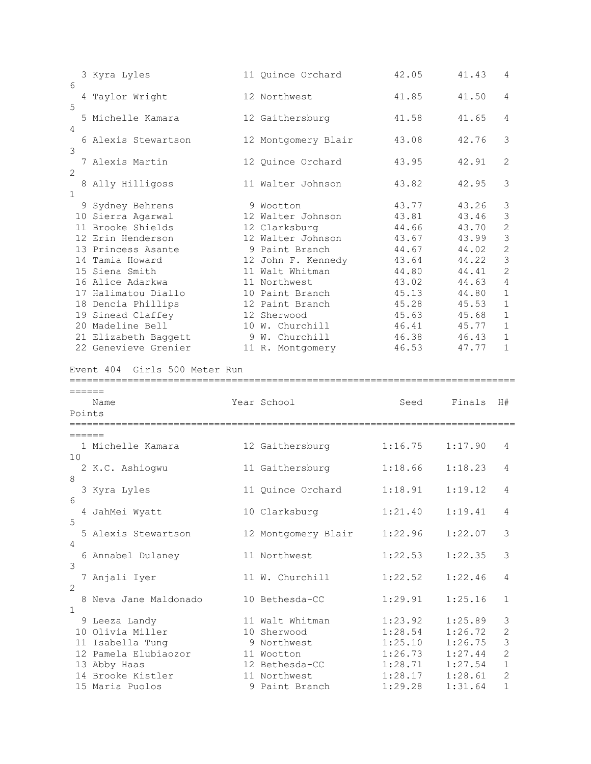|                             | 3 Kyra Lyles                                                                                                                                                                                                                                                                                         | 11 Quince Orchard                                                                                                                                                                                                                                             | 42.05                                                                                                                      | 41.43                                                                                                                      | 4                                                                                                                                                                                                            |
|-----------------------------|------------------------------------------------------------------------------------------------------------------------------------------------------------------------------------------------------------------------------------------------------------------------------------------------------|---------------------------------------------------------------------------------------------------------------------------------------------------------------------------------------------------------------------------------------------------------------|----------------------------------------------------------------------------------------------------------------------------|----------------------------------------------------------------------------------------------------------------------------|--------------------------------------------------------------------------------------------------------------------------------------------------------------------------------------------------------------|
| 6                           | 4 Taylor Wright                                                                                                                                                                                                                                                                                      | 12 Northwest                                                                                                                                                                                                                                                  | 41.85                                                                                                                      | 41.50                                                                                                                      | 4                                                                                                                                                                                                            |
| 5                           | 5 Michelle Kamara                                                                                                                                                                                                                                                                                    | 12 Gaithersburg                                                                                                                                                                                                                                               | 41.58                                                                                                                      | 41.65                                                                                                                      | 4                                                                                                                                                                                                            |
| 4                           | 6 Alexis Stewartson                                                                                                                                                                                                                                                                                  | 12 Montgomery Blair                                                                                                                                                                                                                                           | 43.08                                                                                                                      | 42.76                                                                                                                      | 3                                                                                                                                                                                                            |
| 3                           | 7 Alexis Martin                                                                                                                                                                                                                                                                                      | 12 Quince Orchard                                                                                                                                                                                                                                             | 43.95                                                                                                                      | 42.91                                                                                                                      | 2                                                                                                                                                                                                            |
| 2<br>$\mathbf{1}$           | 8 Ally Hilligoss                                                                                                                                                                                                                                                                                     | 11 Walter Johnson                                                                                                                                                                                                                                             | 43.82                                                                                                                      | 42.95                                                                                                                      | 3                                                                                                                                                                                                            |
|                             | 9 Sydney Behrens<br>10 Sierra Agarwal<br>11 Brooke Shields<br>12 Erin Henderson<br>13 Princess Asante<br>14 Tamia Howard<br>15 Siena Smith<br>16 Alice Adarkwa<br>17 Halimatou Diallo<br>18 Dencia Phillips<br>19 Sinead Claffey<br>20 Madeline Bell<br>21 Elizabeth Baggett<br>22 Genevieve Grenier | 9 Wootton<br>12 Walter Johnson<br>12 Clarksburg<br>12 Walter Johnson<br>9 Paint Branch<br>12 John F. Kennedy<br>11 Walt Whitman<br>11 Northwest<br>10 Paint Branch<br>12 Paint Branch<br>12 Sherwood<br>10 W. Churchill<br>9 W. Churchill<br>11 R. Montgomery | 43.77<br>43.81<br>44.66<br>43.67<br>44.67<br>43.64<br>44.80<br>43.02<br>45.13<br>45.28<br>45.63<br>46.41<br>46.38<br>46.53 | 43.26<br>43.46<br>43.70<br>43.99<br>44.02<br>44.22<br>44.41<br>44.63<br>44.80<br>45.53<br>45.68<br>45.77<br>46.43<br>47.77 | 3<br>$\mathfrak{Z}$<br>$\mathbf{2}$<br>$\mathfrak{Z}$<br>$\overline{c}$<br>3<br>$\overline{2}$<br>$\sqrt{4}$<br>$\mathbf{1}$<br>$\mathbf{1}$<br>$\mathbf{1}$<br>$\mathbf{1}$<br>$\mathbf{1}$<br>$\mathbf{1}$ |
|                             | Girls 500 Meter Run<br>Event 404                                                                                                                                                                                                                                                                     |                                                                                                                                                                                                                                                               |                                                                                                                            |                                                                                                                            |                                                                                                                                                                                                              |
| ======<br>Points            | -===================================<br>Name<br>========                                                                                                                                                                                                                                             | Year School                                                                                                                                                                                                                                                   | Seed                                                                                                                       | Finals                                                                                                                     | H#                                                                                                                                                                                                           |
| ======                      |                                                                                                                                                                                                                                                                                                      |                                                                                                                                                                                                                                                               |                                                                                                                            |                                                                                                                            |                                                                                                                                                                                                              |
| 10                          | 1 Michelle Kamara                                                                                                                                                                                                                                                                                    | 12 Gaithersburg                                                                                                                                                                                                                                               | 1:16.75                                                                                                                    | 1:17.90                                                                                                                    | 4                                                                                                                                                                                                            |
| 8                           | 2 K.C. Ashiogwu                                                                                                                                                                                                                                                                                      | 11 Gaithersburg                                                                                                                                                                                                                                               | 1:18.66                                                                                                                    | 1:18.23                                                                                                                    | 4                                                                                                                                                                                                            |
|                             | 3 Kyra Lyles                                                                                                                                                                                                                                                                                         | 11 Quince Orchard 1:18.91                                                                                                                                                                                                                                     |                                                                                                                            | 1:19.12                                                                                                                    | 4                                                                                                                                                                                                            |
| 6                           | 4 JahMei Wyatt                                                                                                                                                                                                                                                                                       | 10 Clarksburg                                                                                                                                                                                                                                                 | 1:21.40                                                                                                                    | 1:19.41                                                                                                                    | 4                                                                                                                                                                                                            |
| 5                           | 5 Alexis Stewartson                                                                                                                                                                                                                                                                                  | 12 Montgomery Blair                                                                                                                                                                                                                                           | 1:22.96                                                                                                                    | 1:22.07                                                                                                                    | 3                                                                                                                                                                                                            |
| 4                           | 6 Annabel Dulaney                                                                                                                                                                                                                                                                                    | 11 Northwest                                                                                                                                                                                                                                                  | 1:22.53                                                                                                                    | 1:22.35                                                                                                                    | 3                                                                                                                                                                                                            |
| 3                           | 7 Anjali Iyer                                                                                                                                                                                                                                                                                        | 11 W. Churchill                                                                                                                                                                                                                                               | 1:22.52                                                                                                                    | 1:22.46                                                                                                                    | 4                                                                                                                                                                                                            |
| $\mathbf{2}$<br>$\mathbf 1$ | 8 Neva Jane Maldonado                                                                                                                                                                                                                                                                                | 10 Bethesda-CC                                                                                                                                                                                                                                                | 1:29.91                                                                                                                    | 1:25.16                                                                                                                    | $\mathbf{1}$                                                                                                                                                                                                 |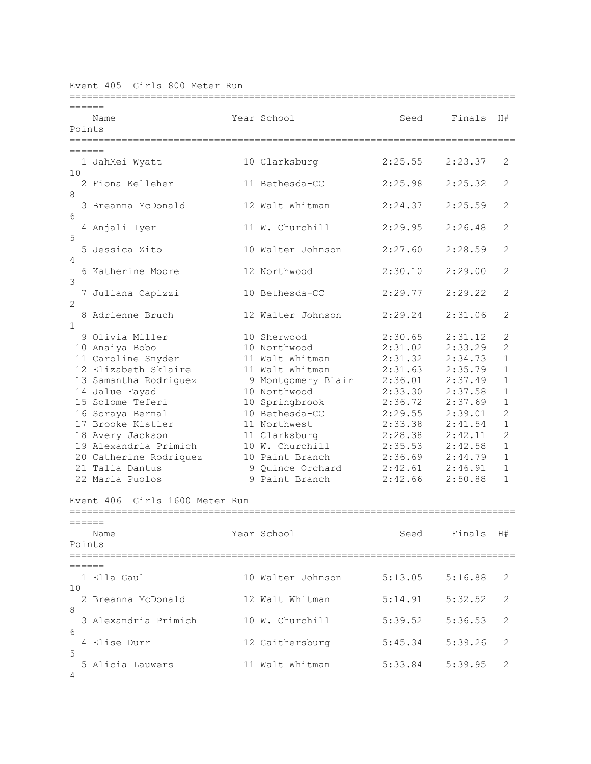Event 405 Girls 800 Meter Run

| ======         |                                   |                                       |         |         |                |
|----------------|-----------------------------------|---------------------------------------|---------|---------|----------------|
|                | Name                              | Year School                           | Seed    | Finals  | H#             |
| Points         |                                   |                                       |         |         |                |
|                |                                   | ===================================== |         |         |                |
| ======         |                                   |                                       |         |         |                |
| 10             | 1 JahMei Wyatt                    | 10 Clarksburg                         | 2:25.55 | 2:23.37 | 2              |
|                | 2 Fiona Kelleher                  | 11 Bethesda-CC                        | 2:25.98 | 2:25.32 | $\mathbf{2}$   |
| 8              |                                   |                                       |         |         |                |
|                | 3 Breanna McDonald                | 12 Walt Whitman                       | 2:24.37 | 2:25.59 | $\mathbf{2}$   |
| 6              |                                   |                                       |         |         |                |
|                | 4 Anjali Iyer                     | 11 W. Churchill                       | 2:29.95 | 2:26.48 | 2              |
| 5              |                                   |                                       |         |         |                |
|                | 5 Jessica Zito                    | 10 Walter Johnson                     | 2:27.60 | 2:28.59 | 2              |
| 4              |                                   |                                       |         |         |                |
|                | 6 Katherine Moore                 | 12 Northwood                          | 2:30.10 | 2:29.00 | 2              |
| 3              |                                   | 10 Bethesda-CC                        | 2:29.77 | 2:29.22 | 2              |
| $\overline{2}$ | 7 Juliana Capizzi                 |                                       |         |         |                |
|                | 8 Adrienne Bruch                  | 12 Walter Johnson                     | 2:29.24 | 2:31.06 | 2              |
| $\mathbf{1}$   |                                   |                                       |         |         |                |
|                | 9 Olivia Miller                   | 10 Sherwood                           | 2:30.65 | 2:31.12 | 2              |
|                | 10 Anaiya Bobo                    | 10 Northwood                          | 2:31.02 | 2:33.29 | $\overline{c}$ |
|                | 11 Caroline Snyder                | 11 Walt Whitman                       | 2:31.32 | 2:34.73 | $\mathbf{1}$   |
|                | 12 Elizabeth Sklaire              | 11 Walt Whitman                       | 2:31.63 | 2:35.79 | $\mathbf{1}$   |
|                | 13 Samantha Rodriguez             | 9 Montgomery Blair                    | 2:36.01 | 2:37.49 | $\mathbf{1}$   |
|                | 14 Jalue Fayad                    | 10 Northwood                          | 2:33.30 | 2:37.58 | $\mathbf{1}$   |
|                | 15 Solome Teferi                  | 10 Springbrook                        | 2:36.72 | 2:37.69 | $\mathbf{1}$   |
|                | 16 Soraya Bernal                  | 10 Bethesda-CC                        | 2:29.55 | 2:39.01 | $\overline{2}$ |
|                | 17 Brooke Kistler                 | 11 Northwest                          | 2:33.38 | 2:41.54 | $\mathbf{1}$   |
|                | 18 Avery Jackson                  | 11 Clarksburg                         | 2:28.38 | 2:42.11 | $\overline{2}$ |
|                | 19 Alexandria Primich             | 10 W. Churchill                       | 2:35.53 | 2:42.58 | $\mathbf{1}$   |
|                | 20 Catherine Rodriquez            | 10 Paint Branch                       | 2:36.69 | 2:44.79 | $\mathbf{1}$   |
|                | 21 Talia Dantus                   | 9 Quince Orchard                      | 2:42.61 | 2:46.91 | $\mathbf{1}$   |
|                | 22 Maria Puolos                   | 9 Paint Branch                        | 2:42.66 | 2:50.88 | $\mathbf{1}$   |
|                |                                   |                                       |         |         |                |
|                | Girls 1600 Meter Run<br>Event 406 |                                       |         |         |                |
|                |                                   |                                       |         |         |                |
|                |                                   |                                       |         |         |                |
|                | Name                              | Year School                           | Seed    | Finals  | H#             |
| Points         |                                   |                                       |         |         |                |
|                |                                   |                                       |         |         |                |
|                |                                   |                                       |         |         |                |
|                | 1 Ella Gaul                       | 10 Walter Johnson 5:13.05 5:16.88     |         |         | 2              |
| 10             |                                   |                                       |         |         |                |
|                | 2 Breanna McDonald                | 12 Walt Whitman                       | 5:14.91 | 5:32.52 | 2              |
| 8              | 3 Alexandria Primich              |                                       |         |         | 2              |
| 6              |                                   | 10 W. Churchill                       | 5:39.52 | 5:36.53 |                |
|                | 4 Elise Durr                      | 12 Gaithersburg                       | 5:45.34 | 5:39.26 | 2              |
| 5              |                                   |                                       |         |         |                |
|                | 5 Alicia Lauwers                  | 11 Walt Whitman                       | 5:33.84 | 5:39.95 | 2              |
| 4              |                                   |                                       |         |         |                |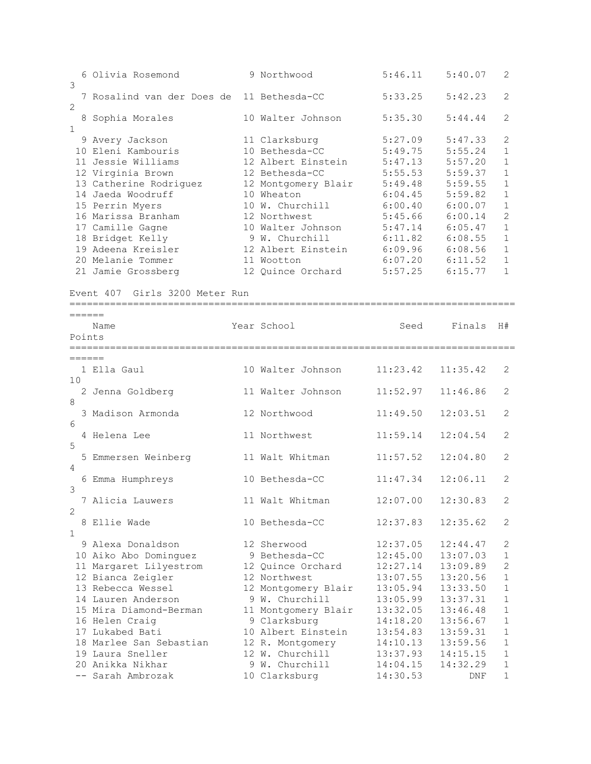| 3           | 6 Olivia Rosemond                                  | 9 Northwood               | 5:46.11              | 5:40.07                        | 2                        |
|-------------|----------------------------------------------------|---------------------------|----------------------|--------------------------------|--------------------------|
|             | 7 Rosalind van der Does de 11 Bethesda-CC          |                           | 5:33.25              | 5:42.23                        | $\mathbf{2}$             |
| 2           |                                                    |                           |                      |                                |                          |
|             | 8 Sophia Morales                                   | 10 Walter Johnson         | 5:35.30              | 5:44.44                        | 2                        |
| $\mathbf 1$ | 9 Avery Jackson                                    | 11 Clarksburg             | 5:27.09              | 5:47.33                        | 2                        |
|             | 10 Eleni Kambouris                                 | 10 Bethesda-CC            | 5:49.75              | 5:55.24                        | $\mathbf{1}$             |
|             | 11 Jessie Williams                                 | 12 Albert Einstein        | 5:47.13              | 5:57.20                        | $\mathbf{1}$             |
|             | 12 Virginia Brown                                  | 12 Bethesda-CC            | 5:55.53              | 5:59.37                        | $\mathbf{1}$             |
|             | 13 Catherine Rodriguez 12 Montgomery Blair 5:49.48 |                           |                      | 5:59.55                        | $\mathbf{1}$             |
|             | 14 Jaeda Woodruff                                  | 10 Wheaton                | 6:04.45              | 5:59.82                        | $\mathbf 1$              |
|             |                                                    | 10 W. Churchill           | $6:00.40$ $6:00.07$  |                                | $\mathbf{1}$             |
|             | 15 Perrin Myers<br>16 Marissa Branham              | 12 Northwest              |                      |                                | 2                        |
|             |                                                    |                           |                      | 5:45.66 6:00.14                |                          |
|             | 17 Camille Gagne                                   | 10 Walter Johnson         | 5:47.14              | 6:05.47<br>$6:11.82$ $6:08.55$ | $\mathbf{1}$             |
|             | 18 Bridget Kelly                                   | 9 W. Churchill            |                      | $6:09.96$ $6:08.56$            | $\mathbf{1}$             |
|             | 19 Adeena Kreisler                                 | 12 Albert Einstein        |                      |                                | $\mathbf{1}$             |
|             | 20 Melanie Tommer                                  | 11 Wootton                |                      | $6:07.20$ $6:11.52$            | $\mathbf{1}$             |
|             | 21 Jamie Grossberg                                 | 12 Quince Orchard 5:57.25 |                      | 6:15.77                        | $\mathbf{1}$             |
|             | Event 407 Girls 3200 Meter Run                     |                           |                      |                                |                          |
|             | ______                                             |                           |                      |                                |                          |
|             | Name                                               | Year School               | Seed                 | Finals                         | H#                       |
|             | Points                                             |                           |                      |                                |                          |
|             |                                                    |                           |                      |                                |                          |
|             | ======                                             |                           |                      |                                |                          |
|             | 1 Ella Gaul                                        | 10 Walter Johnson         | 11:23.42             | 11:35.42                       | 2                        |
| 10          |                                                    |                           |                      |                                |                          |
|             | 2 Jenna Goldberg                                   | 11 Walter Johnson         | 11:52.97             | 11:46.86                       | 2                        |
| 8           |                                                    |                           |                      |                                |                          |
|             | 3 Madison Armonda                                  | 12 Northwood              | 11:49.50             | 12:03.51                       | 2                        |
| 6           |                                                    |                           |                      |                                |                          |
|             | 4 Helena Lee                                       | 11 Northwest              | 11:59.14             | 12:04.54                       | 2                        |
| 5           |                                                    |                           |                      |                                |                          |
|             | 5 Emmersen Weinberg                                | 11 Walt Whitman           | 11:57.52             | 12:04.80                       | 2                        |
| 4           |                                                    |                           |                      |                                |                          |
|             | 6 Emma Humphreys                                   | 10 Bethesda-CC            | 11:47.34             | 12:06.11                       | $\mathbf{2}$             |
| 3           |                                                    |                           |                      |                                |                          |
|             | 7 Alicia Lauwers                                   | 11 Walt Whitman           | 12:07.00             | 12:30.83                       | $\overline{\phantom{a}}$ |
| 2           |                                                    |                           |                      |                                |                          |
|             | 8 Ellie Wade                                       | 10 Bethesda-CC            | 12:37.83             | 12:35.62                       | 2                        |
| $\mathbf 1$ |                                                    |                           |                      |                                |                          |
|             |                                                    |                           |                      |                                |                          |
|             | 9 Alexa Donaldson                                  | 12 Sherwood               |                      | 12:44.47                       | 2                        |
|             |                                                    | 9 Bethesda-CC             | 12:37.05             |                                | 1                        |
|             | 10 Aiko Abo Dominguez                              |                           | 12:45.00<br>12:27.14 | 13:07.03                       | 2                        |
|             | 11 Margaret Lilyestrom                             | 12 Quince Orchard         |                      | 13:09.89                       |                          |
|             | 12 Bianca Zeigler                                  | 12 Northwest              | 13:07.55             | 13:20.56                       | 1                        |
|             | 13 Rebecca Wessel                                  | 12 Montgomery Blair       | 13:05.94             | 13:33.50                       | $\mathbf 1$              |
|             | 14 Lauren Anderson                                 | 9 W. Churchill            | 13:05.99             | 13:37.31                       | $\mathbf 1$              |
|             | 15 Mira Diamond-Berman                             | 11 Montgomery Blair       | 13:32.05             | 13:46.48                       | $\mathbf 1$              |
|             | 16 Helen Craig                                     | 9 Clarksburg              | 14:18.20             | 13:56.67                       | $\mathbf 1$              |
|             | 17 Lukabed Bati                                    | 10 Albert Einstein        | 13:54.83             | 13:59.31                       | $1\,$                    |
|             | 18 Marlee San Sebastian                            | 12 R. Montgomery          | 14:10.13             | 13:59.56                       | 1                        |
|             | 19 Laura Sneller                                   | 12 W. Churchill           | 13:37.93             | 14:15.15                       | 1                        |
|             | 20 Anikka Nikhar                                   | 9 W. Churchill            | 14:04.15             | 14:32.29                       | 1                        |
|             | -- Sarah Ambrozak                                  | 10 Clarksburg             | 14:30.53             | DNF                            | $\mathbf 1$              |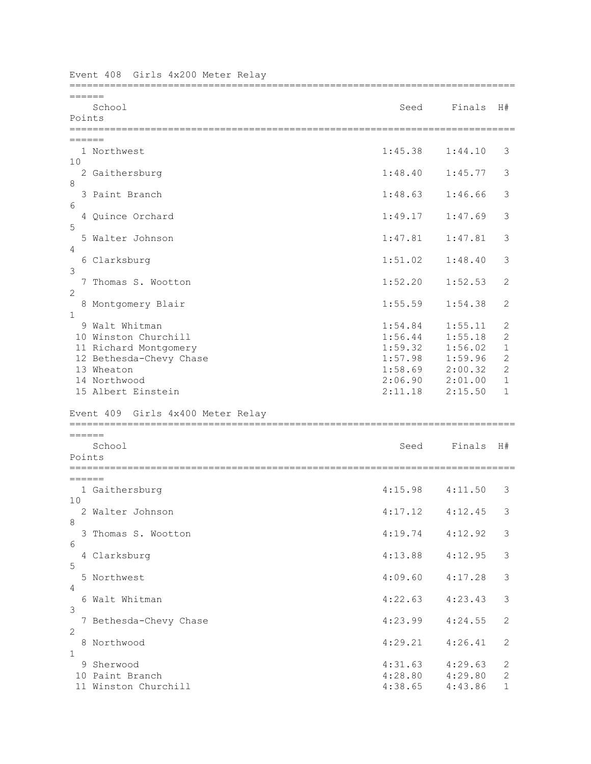| Girls 4x200 Meter Relay<br>Event 408     |                            |         |                |
|------------------------------------------|----------------------------|---------|----------------|
| ------<br>School<br>Points               | Seed                       | Finals  | H#             |
| ======                                   |                            |         |                |
| 1 Northwest                              | 1:45.38                    | 1:44.10 | 3              |
| 10<br>2 Gaithersburg                     | 1:48.40                    | 1:45.77 | 3              |
| 8                                        |                            |         |                |
| 3 Paint Branch                           | 1:48.63                    | 1:46.66 | 3              |
| 6<br>4 Quince Orchard                    | 1:49.17                    | 1:47.69 | 3              |
| 5                                        |                            |         |                |
| 5 Walter Johnson                         | 1:47.81                    | 1:47.81 | 3              |
| 4<br>6 Clarksburg                        | 1:51.02                    | 1:48.40 | 3              |
| 3                                        |                            |         |                |
| Thomas S. Wootton<br>7<br>$\overline{c}$ | 1:52.20                    | 1:52.53 | 2              |
| 8 Montgomery Blair                       | 1:55.59                    | 1:54.38 | 2              |
| 1                                        |                            |         |                |
| 9 Walt Whitman                           | 1:54.84                    | 1:55.11 | $\mathbf{2}$   |
| 10 Winston Churchill                     | 1:56.44                    | 1:55.18 | $\overline{c}$ |
| 11 Richard Montgomery                    | 1:59.32                    | 1:56.02 | $1\,$          |
| 12 Bethesda-Chevy Chase                  | 1:57.98                    | 1:59.96 | $\sqrt{2}$     |
| 13 Wheaton                               | 1:58.69                    | 2:00.32 | $\mathbf{2}$   |
| 14 Northwood                             | 2:06.90                    | 2:01.00 | $\mathbf 1$    |
| 15 Albert Einstein                       | 2:11.18                    | 2:15.50 | $\mathbf{1}$   |
| Event 409 Girls 4x400 Meter Relay        |                            |         |                |
| $=$ $=$ $=$ $=$ $=$                      |                            |         |                |
| School                                   | Seed                       | Finals  | H#             |
| Points                                   |                            |         |                |
|                                          | ========================== |         |                |
| 1 Gaithersburg                           | 4:15.98                    | 4:11.50 | 3              |
| 10                                       |                            |         |                |
| 2 Walter Johnson<br>8                    | 4:17.12                    | 4:12.45 | 3              |
| 3 Thomas S. Wootton                      | 4:19.74                    | 4:12.92 | 3              |
| 6                                        |                            |         |                |
| 4 Clarksburg                             | 4:13.88                    | 4:12.95 | 3              |
| 5<br>5 Northwest                         | 4:09.60                    | 4:17.28 | $\mathfrak{Z}$ |
| 4                                        |                            |         |                |
| 6 Walt Whitman                           | 4:22.63                    | 4:23.43 | 3              |
| 3<br>7 Bethesda-Chevy Chase              | 4:23.99                    | 4:24.55 | 2              |
| $\mathbf{2}$                             |                            |         |                |
| 8 Northwood                              | 4:29.21                    | 4:26.41 | 2              |
| $\mathbf{1}$                             |                            |         |                |
| 9 Sherwood                               | 4:31.63                    | 4:29.63 | 2              |
| 10 Paint Branch                          | 4:28.80                    | 4:29.80 | $\mathbf{2}$   |
| 11 Winston Churchill                     | 4:38.65                    | 4:43.86 | $\mathbf{1}$   |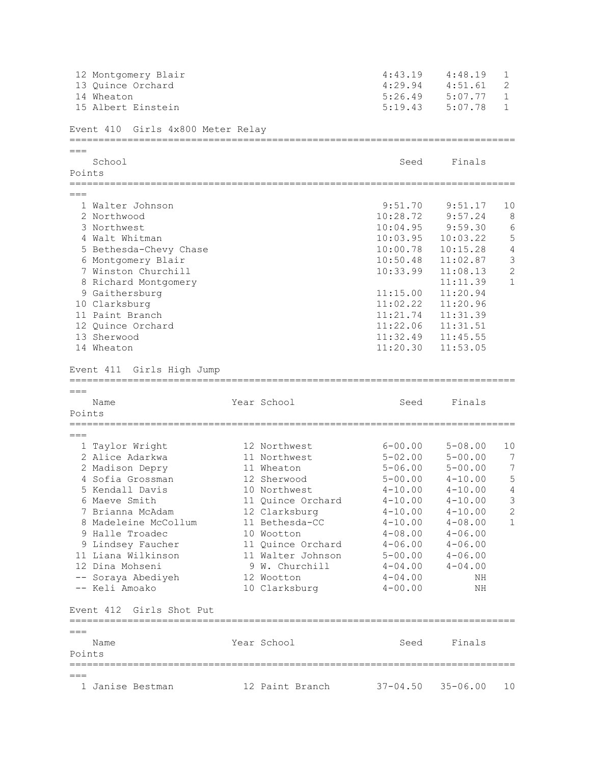|         | 12 Montgomery Blair                                           |                   | 4:43.19           | 4:48.19      | $\mathbf{1}$   |
|---------|---------------------------------------------------------------|-------------------|-------------------|--------------|----------------|
|         | 13 Quince Orchard                                             |                   | 4:29.94           | 4:51.61      | 2              |
|         | 14 Wheaton                                                    |                   | 5:26.49           | 5:07.77      | $\mathbf{1}$   |
|         | 15 Albert Einstein                                            |                   | 5:19.43           | 5:07.78      | $\mathbf{1}$   |
|         | Event 410 Girls 4x800 Meter Relay                             |                   |                   |              |                |
| $== ==$ |                                                               |                   |                   |              |                |
|         | School                                                        |                   | Seed              | Finals       |                |
| Points  | =========                                                     |                   |                   |              |                |
|         |                                                               |                   |                   |              |                |
|         | 1 Walter Johnson                                              |                   | 9:51.70           | 9:51.17      | 10             |
|         | 2 Northwood                                                   |                   | 10:28.72          | 9:57.24      | 8              |
|         | 3 Northwest                                                   |                   | 10:04.95          | 9:59.30      | 6              |
|         | 4 Walt Whitman                                                |                   | 10:03.95          | 10:03.22     | 5              |
|         | 5 Bethesda-Chevy Chase                                        |                   | 10:00.78          | 10:15.28     | $\sqrt{4}$     |
|         | 6 Montgomery Blair                                            |                   | 10:50.48          | 11:02.87     | $\mathfrak{Z}$ |
|         | 7 Winston Churchill                                           |                   | 10:33.99          | 11:08.13     | $\overline{c}$ |
|         | 8 Richard Montgomery                                          |                   |                   | 11:11.39     | $\mathbf{1}$   |
|         | 9 Gaithersburg                                                |                   | 11:15.00          | 11:20.94     |                |
|         | 10 Clarksburg                                                 |                   | 11:02.22          | 11:20.96     |                |
|         | 11 Paint Branch                                               |                   | 11:21.74          | 11:31.39     |                |
|         | 12 Quince Orchard                                             |                   | 11:22.06          | 11:31.51     |                |
|         | 13 Sherwood                                                   |                   | 11:32.49 11:45.55 |              |                |
|         | 14 Wheaton                                                    |                   | 11:20.30          | 11:53.05     |                |
|         | Event 411 Girls High Jump<br>================================ |                   |                   |              |                |
| $===$   |                                                               |                   |                   |              |                |
|         | Name                                                          | Year School       | Seed              | Finals       |                |
| Points  |                                                               |                   |                   |              |                |
| $===$   |                                                               |                   |                   |              |                |
|         | 1 Taylor Wright                                               | 12 Northwest      | $6 - 00.00$       | $5 - 08.00$  | 10             |
|         | 2 Alice Adarkwa                                               | 11 Northwest      | $5 - 02.00$       | $5 - 00.00$  | 7              |
|         | 2 Madison Depry                                               | 11 Wheaton        | $5 - 06.00$       | $5 - 00.00$  | 7              |
|         | 4 Sofia Grossman                                              | 12 Sherwood       | $5 - 00.00$       | $4 - 10.00$  | $\mathsf S$    |
|         | 5 Kendall Davis                                               | 10 Northwest      | $4 - 10.00$       | $4 - 10.00$  | 4              |
|         | 6 Maeve Smith                                                 | 11 Quince Orchard | $4 - 10.00$       | $4 - 10.00$  | 3              |
|         | 7 Brianna McAdam                                              | 12 Clarksburg     | $4 - 10.00$       | $4 - 10.00$  | $\mathbf{2}$   |
|         | 8 Madeleine McCollum                                          | 11 Bethesda-CC    | $4 - 10.00$       | $4 - 08.00$  | $\mathbf{1}$   |
|         | 9 Halle Troadec                                               | 10 Wootton        | $4 - 08.00$       | $4 - 06.00$  |                |
|         | 9 Lindsey Faucher                                             | 11 Quince Orchard | $4 - 06.00$       | $4 - 06.00$  |                |
|         | 11 Liana Wilkinson                                            | 11 Walter Johnson | $5 - 00.00$       | $4 - 06.00$  |                |
|         | 12 Dina Mohseni                                               | 9 W. Churchill    | $4 - 04.00$       | $4 - 04.00$  |                |
|         | -- Soraya Abediyeh                                            | 12 Wootton        | $4 - 04.00$       | ΝH           |                |
|         | -- Keli Amoako                                                | 10 Clarksburg     | $4 - 00.00$       | ΝH           |                |
|         | Event 412 Girls Shot Put                                      |                   |                   |              |                |
| $===$   |                                                               |                   |                   |              |                |
|         | Name                                                          | Year School       | Seed              | Finals       |                |
| Points  |                                                               |                   |                   |              |                |
|         |                                                               |                   |                   |              |                |
| $===$   | 1 Janise Bestman                                              | 12 Paint Branch   | $37 - 04.50$      | $35 - 06.00$ | 10             |
|         |                                                               |                   |                   |              |                |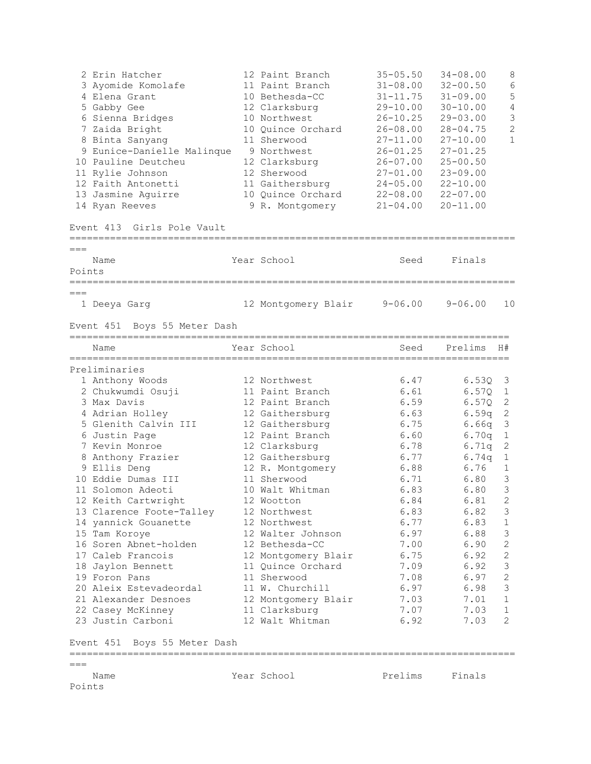|        | Name                                | Year School                       | Prelims                      | Finals                       |                   |
|--------|-------------------------------------|-----------------------------------|------------------------------|------------------------------|-------------------|
| $===$  |                                     |                                   |                              |                              |                   |
|        | Event 451 Boys 55 Meter Dash        |                                   |                              |                              |                   |
|        | 23 Justin Carboni                   | 12 Walt Whitman                   | 6.92                         | 7.03                         | 2                 |
|        | 22 Casey McKinney                   | 11 Clarksburg                     | 7.07                         | 7.03                         | 1                 |
|        | 21 Alexander Desnoes                | 12 Montgomery Blair               | 7.03                         | 7.01                         | 1                 |
|        | 20 Aleix Estevadeordal              | 11 W. Churchill                   | 6.97                         | 6.98                         | 3                 |
|        | 19 Foron Pans                       | 11 Sherwood                       | 7.08                         | 6.97                         | $\mathbf{2}$      |
|        | 18 Jaylon Bennett                   | 11 Quince Orchard                 | 7.09                         | 6.92                         | 3                 |
|        | 17 Caleb Francois                   | 12 Montgomery Blair               | 6.75                         | 6.92                         | $\mathbf{2}$      |
|        | 16 Soren Abnet-holden               | 12 Bethesda-CC                    | 7.00                         | 6.90                         | 2                 |
|        | 15 Tam Koroye                       | 12 Walter Johnson                 | 6.97                         | 6.88                         | 3                 |
|        | 14 yannick Gouanette                | 12 Northwest                      | 6.77                         | 6.83                         | $\mathbf{1}$      |
|        | 13 Clarence Foote-Talley            | 12 Northwest                      | 6.83                         | 6.82                         | 3                 |
|        | 12 Keith Cartwright                 | 12 Wootton                        | 6.84                         | 6.81                         | $\mathbf{2}$      |
|        | 11 Solomon Adeoti                   | 10 Walt Whitman                   | 6.83                         | 6.80                         | 3                 |
|        | 10 Eddie Dumas III                  | 11 Sherwood                       | 6.71                         | 6.80                         | 3                 |
|        | 9 Ellis Deng                        | 12 R. Montgomery                  | 6.88                         | 6.74q<br>6.76                | $\mathbf{1}$      |
|        | 8 Anthony Frazier                   | 12 Clarksburg<br>12 Gaithersburg  | 6.77                         | 6.71q                        | $\mathbf{1}$      |
|        | 6 Justin Page<br>7 Kevin Monroe     | 12 Paint Branch                   | 6.60<br>6.78                 | 6.70q                        | $\mathbf{1}$<br>2 |
|        | 5 Glenith Calvin III                | 12 Gaithersburg                   | 6.75                         | 6.66q                        | 3                 |
|        | 4 Adrian Holley                     | 12 Gaithersburg                   | 6.63                         | 6.59q                        | $\mathbf{2}$      |
|        | 3 Max Davis                         | 12 Paint Branch                   | 6.59                         | 6.57Q                        | -2                |
|        | 2 Chukwumdi Osuji                   | 11 Paint Branch                   | 6.61                         | 6.57Q                        | $\mathbf{1}$      |
|        | 1 Anthony Woods                     | 12 Northwest                      | 6.47                         | 6.53Q                        | 3                 |
|        | Preliminaries                       |                                   |                              |                              |                   |
|        | Name                                | Year School                       | Seed                         | Prelims                      | H#                |
|        | Event 451 Boys 55 Meter Dash        |                                   |                              |                              |                   |
| $===$  | 1 Deeya Garg                        | 12 Montgomery Blair               | $9 - 06.00$                  | $9 - 06.00$                  | 10                |
| Points |                                     |                                   |                              |                              |                   |
| $===$  | Name                                | Year School                       | Seed                         | Finals                       |                   |
|        |                                     |                                   |                              |                              |                   |
|        | Event 413 Girls Pole Vault          |                                   |                              |                              |                   |
|        | 14 Ryan Reeves                      | 9 R. Montgomery                   | $21 - 04.00$                 | $20 - 11.00$                 |                   |
|        | 13 Jasmine Aguirre                  | 10 Quince Orchard                 | $22 - 08.00$                 | $22 - 07.00$                 |                   |
|        | 12 Faith Antonetti                  | 11 Gaithersburg                   | $24 - 05.00$                 | $22 - 10.00$                 |                   |
|        | 11 Rylie Johnson                    | 12 Sherwood                       | $27 - 01.00$                 | $23 - 09.00$                 |                   |
|        | 10 Pauline Deutcheu                 | 12 Clarksburg                     | $26 - 07.00$                 | $25 - 00.50$                 |                   |
|        | 9 Eunice-Danielle Malinque          | 9 Northwest                       | $26 - 01.25$                 | $27 - 01.25$                 |                   |
|        | 8 Binta Sanyang                     | 11 Sherwood                       | $27 - 11.00$                 | $27 - 10.00$                 | $\mathbf{1}$      |
|        | 7 Zaida Bright                      | 10 Quince Orchard                 | $26 - 08.00$                 | $28 - 04.75$                 | $\mathbf{2}$      |
|        | 6 Sienna Bridges                    | 10 Northwest                      | $26 - 10.25$                 | $29 - 03.00$                 | 3                 |
|        | 5 Gabby Gee                         | 12 Clarksburg                     | $29 - 10.00$                 | $30 - 10.00$                 | 4                 |
|        | 3 Ayomide Komolafe<br>4 Elena Grant | 11 Paint Branch<br>10 Bethesda-CC | $31 - 08.00$<br>$31 - 11.75$ | $32 - 00.50$<br>$31 - 09.00$ | 6<br>5            |
|        | 2 Erin Hatcher                      | 12 Paint Branch                   | $35 - 05.50$                 | $34 - 08.00$                 | 8                 |
|        |                                     |                                   |                              |                              |                   |

```
Name<br>Points
```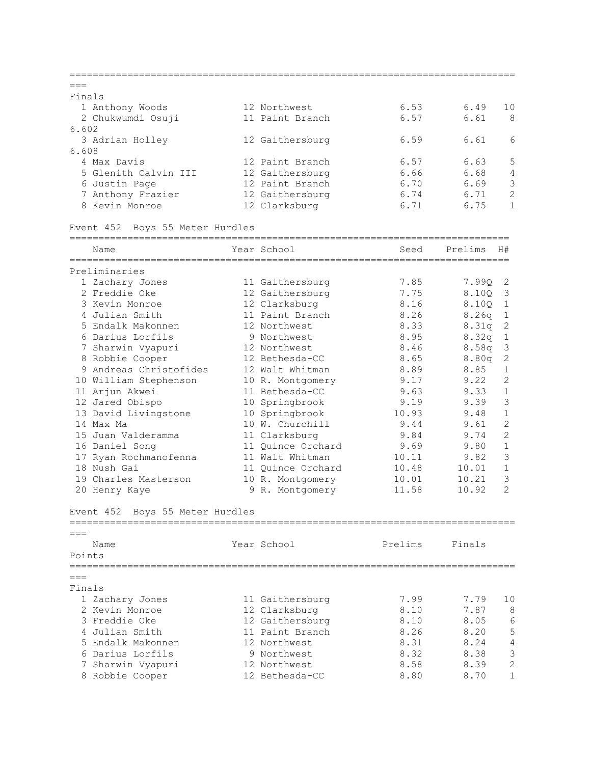| $---$  |                                    |                   |         |                                   |                |
|--------|------------------------------------|-------------------|---------|-----------------------------------|----------------|
| Finals |                                    |                   |         |                                   |                |
|        | 1 Anthony Woods                    | 12 Northwest      | 6.53    | 6.49                              | 10             |
|        | 2 Chukwumdi Osuji                  | 11 Paint Branch   | 6.57    | 6.61                              | 8              |
| 6.602  |                                    |                   |         |                                   |                |
|        | 3 Adrian Holley                    | 12 Gaithersburg   | 6.59    | 6.61                              | 6              |
| 6.608  |                                    |                   |         |                                   |                |
|        | 4 Max Davis                        | 12 Paint Branch   | 6.57    | 6.63                              | 5              |
|        | 5 Glenith Calvin III               | 12 Gaithersburg   | 6.66    | 6.68                              | 4              |
|        | 6 Justin Page                      | 12 Paint Branch   | 6.70    | 6.69                              | 3              |
|        | 7 Anthony Frazier                  | 12 Gaithersburg   | 6.74    | 6.71                              | $\overline{2}$ |
|        | 8 Kevin Monroe                     | 12 Clarksburg     | 6.71    | 6.75                              | $\mathbf{1}$   |
|        | Boys 55 Meter Hurdles<br>Event 452 |                   |         |                                   |                |
|        | Name                               | Year School       | Seed    | Prelims<br>H#                     |                |
|        |                                    |                   |         |                                   |                |
|        | Preliminaries                      |                   |         |                                   |                |
|        | 1 Zachary Jones                    | 11 Gaithersburg   | 7.85    | 7.99Q<br>2                        |                |
|        | 2 Freddie Oke                      | 12 Gaithersburg   | 7.75    | 8.100<br>3                        |                |
|        | 3 Kevin Monroe                     | 12 Clarksburg     | 8.16    | $\mathbf 1$<br>8.100              |                |
|        | 4 Julian Smith                     | 11 Paint Branch   | 8.26    | $\mathbf{1}$<br>8.26 <sub>q</sub> |                |
|        | 5 Endalk Makonnen                  | 12 Northwest      | 8.33    | $\sqrt{2}$<br>8.31q               |                |
|        | 6 Darius Lorfils                   | 9 Northwest       | 8.95    | $\,1\,$<br>8.32q                  |                |
|        | 7 Sharwin Vyapuri                  | 12 Northwest      | 8.46    | $\mathfrak{Z}$<br>8.58q           |                |
|        | 8 Robbie Cooper                    | 12 Bethesda-CC    | 8.65    | 2<br>8.80q                        |                |
|        | 9 Andreas Christofides             | 12 Walt Whitman   | 8.89    | $\mathbf 1$<br>8.85               |                |
|        | 10 William Stephenson              | 10 R. Montgomery  | 9.17    | 2<br>9.22                         |                |
|        | 11 Arjun Akwei                     | 11 Bethesda-CC    | 9.63    | $\mathbf 1$<br>9.33               |                |
|        | 12 Jared Obispo                    | 10 Springbrook    | 9.19    | 3<br>9.39                         |                |
|        | 13 David Livingstone               | 10 Springbrook    | 10.93   | $\mathbf{1}$<br>9.48              |                |
|        | 14 Max Ma                          | 10 W. Churchill   | 9.44    | $\mathbf{2}$<br>9.61              |                |
|        | 15 Juan Valderamma                 | 11 Clarksburg     | 9.84    | $\overline{c}$<br>9.74            |                |
|        | 16 Daniel Song                     | 11 Quince Orchard | 9.69    | $\mathbf 1$<br>9.80               |                |
|        | 17 Ryan Rochmanofenna              | 11 Walt Whitman   | 10.11   | 3<br>9.82                         |                |
|        | 18 Nush Gai                        | 11 Quince Orchard | 10.48   | $\mathbf 1$<br>10.01              |                |
|        | 19 Charles Masterson               | 10 R. Montgomery  | 10.01   | 3<br>10.21                        |                |
|        | 20 Henry Kaye                      | 9 R. Montgomery   | 11.58   | 2<br>10.92                        |                |
|        | Event 452 Boys 55 Meter Hurdles    |                   |         |                                   |                |
| $---$  |                                    |                   |         |                                   |                |
| Points | Name                               | Year School       | Prelims | Finals                            |                |
| $---$  |                                    |                   |         |                                   |                |
| Finals |                                    |                   |         |                                   |                |
|        | 1 Zachary Jones                    | 11 Gaithersburg   | 7.99    | 7.79                              | 10             |
|        | 2 Kevin Monroe                     | 12 Clarksburg     | 8.10    | 7.87                              | 8              |
|        | 3 Freddie Oke                      | 12 Gaithersburg   | 8.10    | 8.05                              | 6              |
|        | 4 Julian Smith                     | 11 Paint Branch   | 8.26    | 8.20                              | 5              |
|        | 5 Endalk Makonnen                  | 12 Northwest      | 8.31    | 8.24                              | 4              |
|        | 6 Darius Lorfils                   | 9 Northwest       | 8.32    | 8.38                              | 3              |
|        | Sharwin Vyapuri                    | 12 Northwest      | 8.58    | 8.39                              | 2              |
|        | 8 Robbie Cooper                    | 12 Bethesda-CC    | 8.80    | 8.70                              | 1              |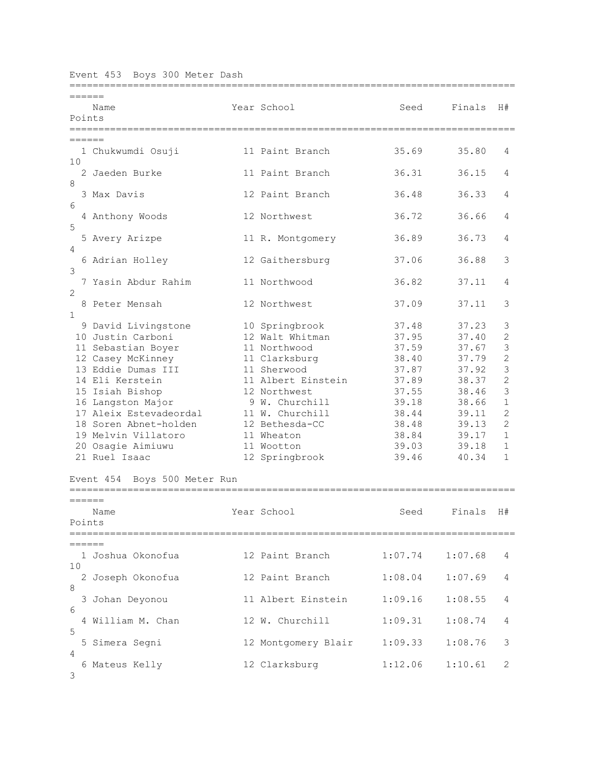|  |  |  |  |  | Event 453 Boys 300 Meter Dash |  |
|--|--|--|--|--|-------------------------------|--|
|--|--|--|--|--|-------------------------------|--|

|              | :==================================== |                     |                                    |         |                |
|--------------|---------------------------------------|---------------------|------------------------------------|---------|----------------|
| ======       |                                       |                     |                                    |         |                |
|              | Name                                  | Year School         | Seed                               | Finals  | H#             |
| Points       |                                       |                     |                                    |         |                |
|              |                                       |                     | ================================== |         |                |
| ——————       |                                       |                     |                                    |         |                |
|              | 1 Chukwumdi Osuji                     | 11 Paint Branch     | 35.69                              | 35.80   | 4              |
| 10           |                                       |                     |                                    |         |                |
|              | 2 Jaeden Burke                        | 11 Paint Branch     | 36.31                              | 36.15   | 4              |
| 8            |                                       |                     |                                    |         |                |
|              | 3 Max Davis                           | 12 Paint Branch     | 36.48                              | 36.33   | 4              |
| 6            |                                       |                     |                                    |         |                |
|              | 4 Anthony Woods                       | 12 Northwest        | 36.72                              | 36.66   | 4              |
| 5            |                                       |                     |                                    |         |                |
|              | 5 Avery Arizpe                        | 11 R. Montgomery    | 36.89                              | 36.73   | 4              |
| 4            |                                       |                     |                                    |         |                |
|              | 6 Adrian Holley                       | 12 Gaithersburg     | 37.06                              | 36.88   | 3              |
| 3            |                                       |                     |                                    |         |                |
|              | 7 Yasin Abdur Rahim                   | 11 Northwood        | 36.82                              | 37.11   | 4              |
| 2            |                                       |                     |                                    |         |                |
|              | 8 Peter Mensah                        | 12 Northwest        | 37.09                              | 37.11   | 3              |
| $\mathbf{1}$ |                                       |                     |                                    |         |                |
|              | 9 David Livingstone                   | 10 Springbrook      | 37.48                              | 37.23   | 3              |
|              | 10 Justin Carboni                     | 12 Walt Whitman     | 37.95                              | 37.40   | $\overline{c}$ |
|              | 11 Sebastian Boyer                    | 11 Northwood        | 37.59                              | 37.67   | $\mathcal{S}$  |
|              | 12 Casey McKinney                     | 11 Clarksburg       | 38.40                              | 37.79   | $\overline{c}$ |
|              | 13 Eddie Dumas III                    | 11 Sherwood         | 37.87                              | 37.92   | 3              |
|              | 14 Eli Kerstein                       | 11 Albert Einstein  | 37.89                              | 38.37   | $\overline{c}$ |
|              | 15 Isiah Bishop                       | 12 Northwest        | 37.55                              | 38.46   | 3              |
|              | 16 Langston Major                     | 9 W. Churchill      | 39.18                              | 38.66   | $\mathbf{1}$   |
|              | 17 Aleix Estevadeordal                | 11 W. Churchill     | 38.44                              | 39.11   | $\mathbf{2}$   |
|              | 18 Soren Abnet-holden                 | 12 Bethesda-CC      | 38.48                              | 39.13   | $\mathbf{2}$   |
|              | 19 Melvin Villatoro                   | 11 Wheaton          | 38.84                              | 39.17   | $\mathbf{1}$   |
|              | 20 Osagie Aimiuwu                     | 11 Wootton          | 39.03                              | 39.18   | $\mathbf{1}$   |
|              | 21 Ruel Isaac                         | 12 Springbrook      | 39.46                              | 40.34   | $\mathbf{1}$   |
|              |                                       |                     |                                    |         |                |
|              | Boys 500 Meter Run<br>Event 454       |                     |                                    |         |                |
|              |                                       |                     |                                    |         |                |
| ======       |                                       |                     |                                    |         |                |
|              | Name                                  | Year School         | Seed                               | Finals  | H#             |
| Points       |                                       |                     |                                    |         |                |
|              |                                       |                     |                                    |         |                |
|              |                                       |                     |                                    |         |                |
|              | 1 Joshua Okonofua                     | 12 Paint Branch     | 1:07.74                            | 1:07.68 | 4              |
| 10           |                                       |                     |                                    |         |                |
|              | 2 Joseph Okonofua                     | 12 Paint Branch     | 1:08.04                            | 1:07.69 | 4              |
| 8            |                                       |                     |                                    |         |                |
|              | 3 Johan Deyonou                       | 11 Albert Einstein  | 1:09.16                            | 1:08.55 | 4              |
| 6            |                                       |                     |                                    |         |                |
|              | 4 William M. Chan                     | 12 W. Churchill     | 1:09.31                            | 1:08.74 | 4              |
| 5            |                                       |                     |                                    |         |                |
|              | 5 Simera Segni                        | 12 Montgomery Blair | 1:09.33                            | 1:08.76 | 3              |
| 4            |                                       |                     |                                    |         |                |
|              | 6 Mateus Kelly                        | 12 Clarksburg       | 1:12.06                            | 1:10.61 | 2              |
| 3            |                                       |                     |                                    |         |                |
|              |                                       |                     |                                    |         |                |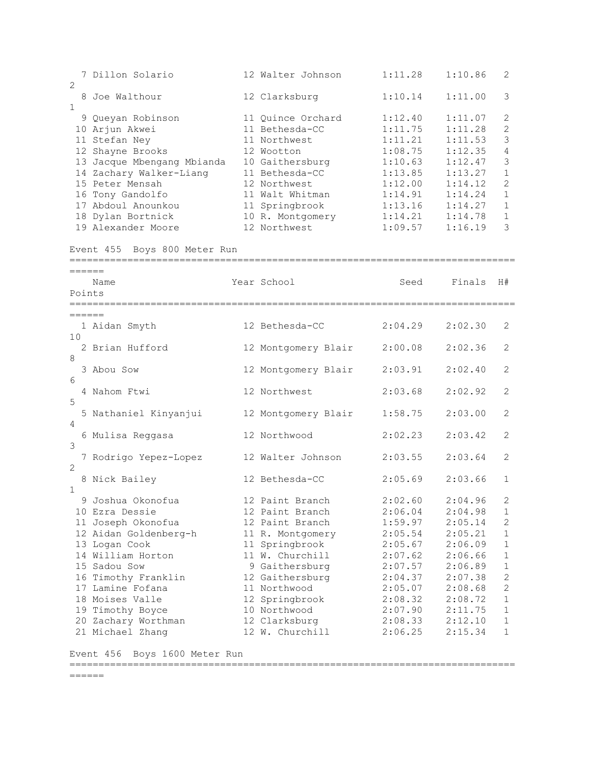7 Dillon Solario 12 Walter Johnson 1:11.28 1:10.86 2  $\mathcal{L}$  8 Joe Walthour 12 Clarksburg 1:10.14 1:11.00 3 1 9 Queyan Robinson 11 Quince Orchard 1:12.40 1:11.07 2 10 Arjun Akwei 11 Bethesda-CC 1:11.75 1:11.28 2 11 Stefan Ney 11 Northwest 1:11.21 1:11.53 3 12 Shayne Brooks 12 Wootton 1:08.75 1:12.35 4 13 Jacque Mbengang Mbianda 10 Gaithersburg 1:10.63 1:12.47 3 14 Zachary Walker-Liang 11 Bethesda-CC 1:13.85 1:13.27 1 15 Peter Mensah 12 Northwest 1:12.00 1:14.12 2 16 Tony Gandolfo 11 Walt Whitman 1:14.91 1:14.24 1 17 Abdoul Anounkou 11 Springbrook 1:13.16 1:14.27 1 18 Dylan Bortnick 10 R. Montgomery 1:14.21 1:14.78 1 19 Alexander Moore 12 Northwest 1:09.57 1:16.19 3 Event 455 Boys 800 Meter Run ============================================================================= ====== Name Year School Seed Finals H# Points ============================================================================= ====== 1 Aidan Smyth 12 Bethesda-CC 2:04.29 2:02.30 2 10 2 Brian Hufford 12 Montgomery Blair 2:00.08 2:02.36 2 8 3 Abou Sow 12 Montgomery Blair 2:03.91 2:02.40 2  $6 \overline{6}$  4 Nahom Ftwi 12 Northwest 2:03.68 2:02.92 2 5 5 Nathaniel Kinyanjui 12 Montgomery Blair 1:58.75 2:03.00 2 4 6 Mulisa Reggasa 12 Northwood 2:02.23 2:03.42 2 3 7 Rodrigo Yepez-Lopez 12 Walter Johnson 2:03.55 2:03.64 2 2 8 Nick Bailey 12 Bethesda-CC 2:05.69 2:03.66 1 1 9 Joshua Okonofua 12 Paint Branch 2:02.60 2:04.96 2 10 Ezra Dessie 12 Paint Branch 2:06.04 2:04.98 1 11 Joseph Okonofua 12 Paint Branch 1:59.97 2:05.14 2 12 Aidan Goldenberg-h 11 R. Montgomery 2:05.54 2:05.21 1 13 Logan Cook 11 Springbrook 2:05.67 2:06.09 1 14 William Horton 11 W. Churchill 2:07.62 2:06.66 1 15 Sadou Sow 9 Gaithersburg 2:07.57 2:06.89 1 16 Timothy Franklin 12 Gaithersburg 2:04.37 2:07.38 2 17 Lamine Fofana 11 Northwood 2:05.07 2:08.68 2 18 Moises Valle 12 Springbrook 2:08.32 2:08.72 1 19 Timothy Boyce 10 Northwood 2:07.90 2:11.75 1 20 Zachary Worthman 12 Clarksburg 2:08.33 2:12.10 1 21 Michael Zhang 12 W. Churchill 2:06.25 2:15.34 1

Event 456 Boys 1600 Meter Run =============================================================================

======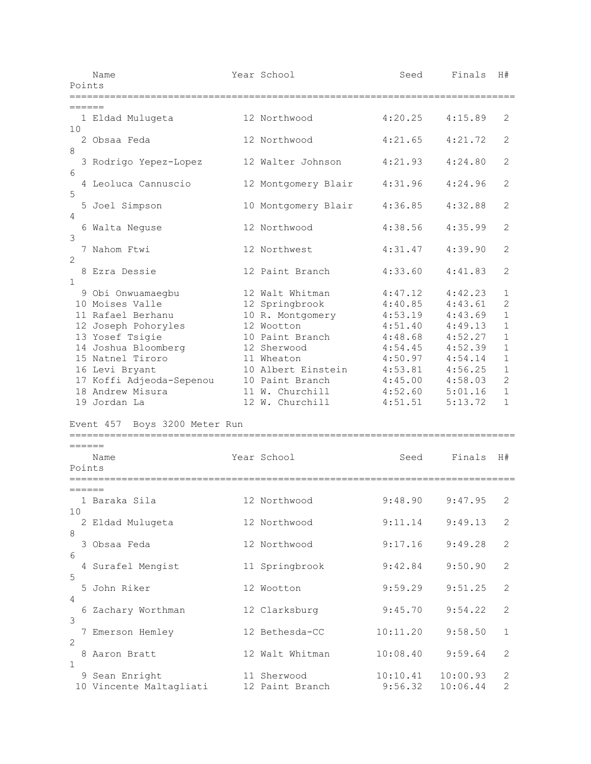|                | Year School<br>Name<br>Seed<br>Points<br>;======================                                                                                                                                                                                                  |  | Finals                                                                                                                                                                                                                     | H#                                                                                                                    |                                                                                                                       |                                                                                                                                                |
|----------------|-------------------------------------------------------------------------------------------------------------------------------------------------------------------------------------------------------------------------------------------------------------------|--|----------------------------------------------------------------------------------------------------------------------------------------------------------------------------------------------------------------------------|-----------------------------------------------------------------------------------------------------------------------|-----------------------------------------------------------------------------------------------------------------------|------------------------------------------------------------------------------------------------------------------------------------------------|
|                |                                                                                                                                                                                                                                                                   |  |                                                                                                                                                                                                                            |                                                                                                                       |                                                                                                                       |                                                                                                                                                |
| ======<br>10   | 1 Eldad Mulugeta                                                                                                                                                                                                                                                  |  | 12 Northwood                                                                                                                                                                                                               | 4:20.25                                                                                                               | 4:15.89                                                                                                               | 2                                                                                                                                              |
| $\,8\,$        | 2 Obsaa Feda                                                                                                                                                                                                                                                      |  | 12 Northwood                                                                                                                                                                                                               | 4:21.65                                                                                                               | 4:21.72                                                                                                               | 2                                                                                                                                              |
| 6              | 3 Rodrigo Yepez-Lopez                                                                                                                                                                                                                                             |  | 12 Walter Johnson                                                                                                                                                                                                          | 4:21.93                                                                                                               | 4:24.80                                                                                                               | 2                                                                                                                                              |
| $\mathsf S$    | 4 Leoluca Cannuscio                                                                                                                                                                                                                                               |  | 12 Montgomery Blair                                                                                                                                                                                                        | 4:31.96                                                                                                               | 4:24.96                                                                                                               | 2                                                                                                                                              |
| 4              | 5 Joel Simpson                                                                                                                                                                                                                                                    |  | 10 Montgomery Blair                                                                                                                                                                                                        | 4:36.85                                                                                                               | 4:32.88                                                                                                               | 2                                                                                                                                              |
| 3              | 6 Walta Neguse                                                                                                                                                                                                                                                    |  | 12 Northwood                                                                                                                                                                                                               | 4:38.56                                                                                                               | 4:35.99                                                                                                               | $\mathbf{2}$                                                                                                                                   |
| $\overline{2}$ | 7 Nahom Ftwi                                                                                                                                                                                                                                                      |  | 12 Northwest                                                                                                                                                                                                               | 4:31.47                                                                                                               | 4:39.90                                                                                                               | 2                                                                                                                                              |
| $\mathbf 1$    | 8 Ezra Dessie                                                                                                                                                                                                                                                     |  | 12 Paint Branch                                                                                                                                                                                                            | 4:33.60                                                                                                               | 4:41.83                                                                                                               | 2                                                                                                                                              |
| ======         | 9 Obi Onwuamaegbu<br>10 Moises Valle<br>11 Rafael Berhanu<br>12 Joseph Pohoryles<br>13 Yosef Tsigie<br>14 Joshua Bloomberg<br>15 Natnel Tiroro<br>16 Levi Bryant<br>17 Koffi Adjeoda-Sepenou<br>18 Andrew Misura<br>19 Jordan La<br>Event 457 Boys 3200 Meter Run |  | 12 Walt Whitman<br>12 Springbrook<br>10 R. Montgomery<br>12 Wootton<br>10 Paint Branch<br>12 Sherwood<br>11 Wheaton<br>10 Albert Einstein<br>10 Paint Branch<br>11 W. Churchill<br>12 W. Churchill<br>==================== | 4:47.12<br>4:40.85<br>4:53.19<br>4:51.40<br>4:48.68<br>4:54.45<br>4:50.97<br>4:53.81<br>4:45.00<br>4:52.60<br>4:51.51 | 4:42.23<br>4:43.61<br>4:43.69<br>4:49.13<br>4:52.27<br>4:52.39<br>4:54.14<br>4:56.25<br>4:58.03<br>5:01.16<br>5:13.72 | 1<br>$\overline{2}$<br>$\mathbf{1}$<br>$\mathbf{1}$<br>$\mathbf{1}$<br>$\mathbf{1}$<br>$1\,$<br>$1\,$<br>$\mathbf{2}$<br>$1\,$<br>$\mathbf{1}$ |
| Points         | Name                                                                                                                                                                                                                                                              |  | Year School                                                                                                                                                                                                                | Seed                                                                                                                  | Finals                                                                                                                | H#                                                                                                                                             |
| ======         |                                                                                                                                                                                                                                                                   |  |                                                                                                                                                                                                                            |                                                                                                                       |                                                                                                                       |                                                                                                                                                |
| 10             | 1 Baraka Sila                                                                                                                                                                                                                                                     |  | 12 Northwood                                                                                                                                                                                                               | 9:48.90                                                                                                               | 9:47.95                                                                                                               | $\overline{2}$                                                                                                                                 |
| 8              | 2 Eldad Mulugeta                                                                                                                                                                                                                                                  |  | 12 Northwood                                                                                                                                                                                                               | 9:11.14                                                                                                               | 9:49.13                                                                                                               | 2                                                                                                                                              |
| 6              | 3 Obsaa Feda                                                                                                                                                                                                                                                      |  | 12 Northwood                                                                                                                                                                                                               | 9:17.16                                                                                                               | 9:49.28                                                                                                               | $\sqrt{2}$                                                                                                                                     |
| $\mathsf S$    | 4 Surafel Mengist                                                                                                                                                                                                                                                 |  | 11 Springbrook                                                                                                                                                                                                             | 9:42.84                                                                                                               | 9:50.90                                                                                                               | $\mathbf{2}$                                                                                                                                   |
| 4              | 5 John Riker                                                                                                                                                                                                                                                      |  | 12 Wootton                                                                                                                                                                                                                 | 9:59.29                                                                                                               | 9:51.25                                                                                                               | 2                                                                                                                                              |
| 3              | 6 Zachary Worthman                                                                                                                                                                                                                                                |  | 12 Clarksburg                                                                                                                                                                                                              | 9:45.70                                                                                                               | 9:54.22                                                                                                               | 2                                                                                                                                              |
| $\mathbf{2}$   | 7 Emerson Hemley                                                                                                                                                                                                                                                  |  | 12 Bethesda-CC                                                                                                                                                                                                             | 10:11.20                                                                                                              | 9:58.50                                                                                                               | $\mathbf{1}$                                                                                                                                   |
| $\mathbf{1}$   | 8 Aaron Bratt                                                                                                                                                                                                                                                     |  | 12 Walt Whitman                                                                                                                                                                                                            | 10:08.40                                                                                                              | 9:59.64                                                                                                               | 2                                                                                                                                              |
|                | 9 Sean Enright<br>10 Vincente Maltagliati                                                                                                                                                                                                                         |  | 11 Sherwood<br>12 Paint Branch                                                                                                                                                                                             | 10:10.41<br>9:56.32                                                                                                   | 10:00.93<br>10:06.44                                                                                                  | $\mathbf{2}$<br>2                                                                                                                              |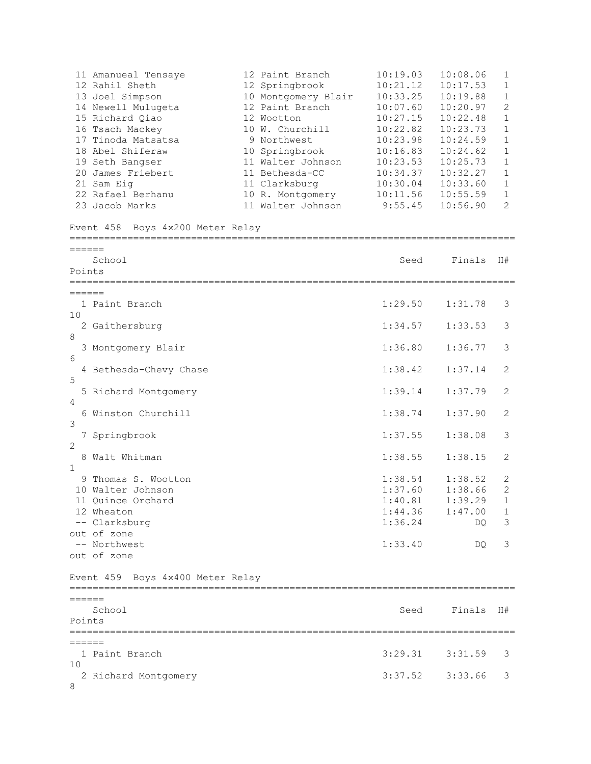11 Amanueal Tensaye 12 Paint Branch 10:19.03 10:08.06 1 12 Rahil Sheth 12 Springbrook 10:21.12 10:17.53 1 13 Joel Simpson 10 Montgomery Blair 10:33.25 10:19.88 1 14 Newell Mulugeta 12 Paint Branch 10:07.60 10:20.97 2 15 Richard Qiao 12 Wootton 10:27.15 10:22.48 1 16 Tsach Mackey 10 W. Churchill 10:22.82 10:23.73 1 17 Tinoda Matsatsa 9 Northwest 10:23.98 10:24.59 1 18 Abel Shiferaw 10 Springbrook 10:16.83 10:24.62 1 19 Seth Bangser 11 Walter Johnson 10:23.53 10:25.73 1 20 James Friebert 11 Bethesda-CC 10:34.37 10:32.27 1 21 Sam Eig 11 Clarksburg 10:30.04 10:33.60 1 22 Rafael Berhanu 10 R. Montgomery 10:11.56 10:55.59 1 23 Jacob Marks 11 Walter Johnson 9:55.45 10:56.90 2 Event 458 Boys 4x200 Meter Relay ============================================================================= ====== School Seed Finals H# Points ============================================================================= ====== 1 Paint Branch 1:29.50 1:31.78 3 10 2 Gaithersburg 1:34.57 1:33.53 3 8 3 Montgomery Blair 1:36.80 1:36.77 3 6 4 Bethesda-Chevy Chase 1:38.42 1:37.14 2 5 5 Richard Montgomery 1:39.14 1:37.79 2  $\Delta$  6 Winston Churchill 1:38.74 1:37.90 2 3 7 Springbrook 1:37.55 1:38.08 3 2 8 Walt Whitman 1:38.55 1:38.15 2 1 9 Thomas S. Wootton 1:38.54 1:38.52 2 10 Walter Johnson 1:37.60 1:38.66 2 11 Quince Orchard 1:40.81 1:39.29 1 12 Wheaton 1:44.36 1:47.00 1 -- Clarksburg 1:36.24 DQ 3 out of zone -- Northwest 2:33.40 DO 3 out of zone Event 459 Boys 4x400 Meter Relay ============================================================================= ====== School Seed Finals H# Points ============================================================================= ====== 1 Paint Branch 3:29.31 3:31.59 3 10 2 Richard Montgomery 3:37.52 3:33.66 3 8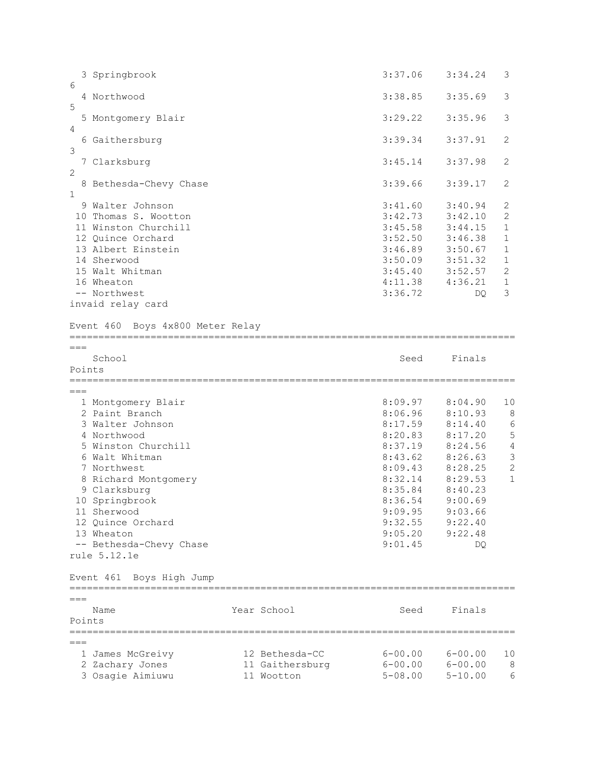|                 | 3 Springbrook                                                                                                                                                                                    |  |             | 3:37.06                                                                                         | 3:34.24                                                                                     | 3                                                                                            |
|-----------------|--------------------------------------------------------------------------------------------------------------------------------------------------------------------------------------------------|--|-------------|-------------------------------------------------------------------------------------------------|---------------------------------------------------------------------------------------------|----------------------------------------------------------------------------------------------|
| 6<br>5          | 4 Northwood                                                                                                                                                                                      |  |             | 3:38.85                                                                                         | 3:35.69                                                                                     | 3                                                                                            |
| 4               | 5 Montgomery Blair                                                                                                                                                                               |  |             | 3:29.22                                                                                         | 3:35.96                                                                                     | 3                                                                                            |
| 3               | 6 Gaithersburg                                                                                                                                                                                   |  |             | 3:39.34                                                                                         | 3:37.91                                                                                     | 2                                                                                            |
| $\overline{c}$  | 7 Clarksburg                                                                                                                                                                                     |  |             | 3:45.14                                                                                         | 3:37.98                                                                                     | $\overline{2}$                                                                               |
| $\mathbf{1}$    | 8 Bethesda-Chevy Chase                                                                                                                                                                           |  |             | 3:39.66                                                                                         | 3:39.17                                                                                     | 2                                                                                            |
|                 | 9 Walter Johnson<br>10 Thomas S. Wootton<br>11 Winston Churchill<br>12 Quince Orchard<br>13 Albert Einstein<br>14 Sherwood<br>15 Walt Whitman<br>16 Wheaton<br>-- Northwest<br>invaid relay card |  |             | 3:41.60<br>3:42.73<br>3:45.58<br>3:52.50<br>3:46.89<br>3:50.09<br>3:45.40<br>4:11.38<br>3:36.72 | 3:40.94<br>3:42.10<br>3:44.15<br>3:46.38<br>3:50.67<br>3:51.32<br>3:52.57<br>4:36.21<br>DQ. | 2<br>2<br>$\mathbf 1$<br>$\mathbf 1$<br>$\mathbf 1$<br>1<br>$\mathbf{2}$<br>$\mathbf 1$<br>3 |
|                 | Event 460 Boys 4x800 Meter Relay                                                                                                                                                                 |  |             |                                                                                                 |                                                                                             |                                                                                              |
| $===$           | School                                                                                                                                                                                           |  |             | Seed                                                                                            | Finals                                                                                      |                                                                                              |
| Points          |                                                                                                                                                                                                  |  |             |                                                                                                 |                                                                                             |                                                                                              |
| $===$           |                                                                                                                                                                                                  |  |             |                                                                                                 |                                                                                             |                                                                                              |
|                 | 1 Montgomery Blair<br>2 Paint Branch<br>3 Walter Johnson<br>4 Northwood<br>5 Winston Churchill<br>6 Walt Whitman<br>7 Northwest                                                                  |  |             | 8:09.97<br>8:06.96<br>8:17.59<br>8:20.83<br>8:37.19<br>8:43.62<br>8:09.43                       | 8:04.90<br>8:10.93<br>8:14.40<br>8:17.20<br>8:24.56<br>8:26.63<br>8:28.25                   | 10<br>8<br>6<br>5<br>$\sqrt{4}$<br>$\mathcal{S}$<br>$\overline{c}$                           |
|                 | 8 Richard Montgomery<br>9 Clarksburg<br>10 Springbrook<br>11 Sherwood<br>12 Quince Orchard<br>13 Wheaton<br>-- Bethesda-Chevy Chase<br>rule 5.12.1e                                              |  |             | 8:32.14<br>8:35.84<br>8:36.54<br>9:09.95<br>9:32.55<br>9:05.20<br>9:01.45                       | 8:29.53<br>8:40.23<br>9:00.69<br>9:03.66<br>9:22.40<br>9:22.48<br>DQ                        | $\mathbf{1}$                                                                                 |
|                 | Event 461 Boys High Jump                                                                                                                                                                         |  |             |                                                                                                 |                                                                                             |                                                                                              |
| $===$<br>Points | Name                                                                                                                                                                                             |  | Year School | Seed                                                                                            | Finals                                                                                      |                                                                                              |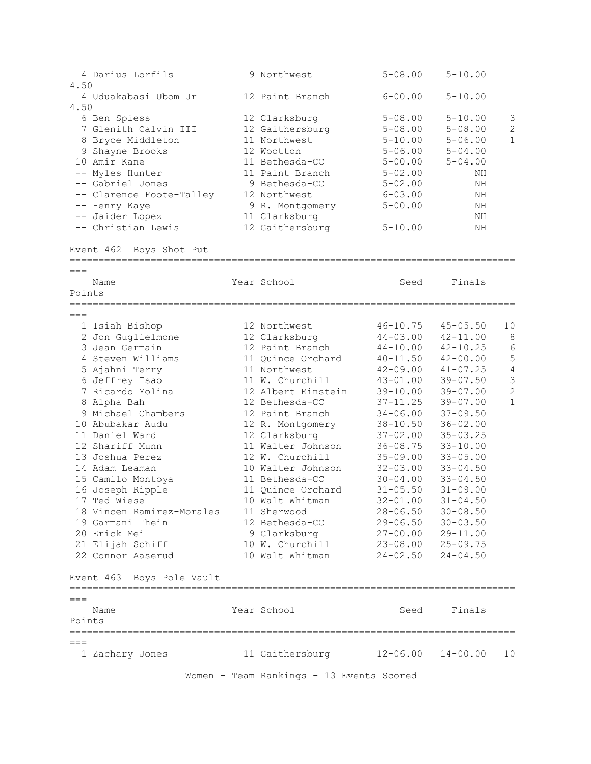| 4 Darius Lorfils<br>4.50                                                                                                                                                                                                                                                                                                                                                                                                                 | 9 Northwest                                                                                                                                                                                                                                                                                                                                                                                                            | $5 - 08.00$                                                                                                                                                                                                                                                                                                                                          | $5 - 10.00$                                                                                                                                                                                                                                                                                                                                                  |                                                               |
|------------------------------------------------------------------------------------------------------------------------------------------------------------------------------------------------------------------------------------------------------------------------------------------------------------------------------------------------------------------------------------------------------------------------------------------|------------------------------------------------------------------------------------------------------------------------------------------------------------------------------------------------------------------------------------------------------------------------------------------------------------------------------------------------------------------------------------------------------------------------|------------------------------------------------------------------------------------------------------------------------------------------------------------------------------------------------------------------------------------------------------------------------------------------------------------------------------------------------------|--------------------------------------------------------------------------------------------------------------------------------------------------------------------------------------------------------------------------------------------------------------------------------------------------------------------------------------------------------------|---------------------------------------------------------------|
| 4 Uduakabasi Ubom Jr<br>4.50                                                                                                                                                                                                                                                                                                                                                                                                             | 12 Paint Branch                                                                                                                                                                                                                                                                                                                                                                                                        | $6 - 00.00$                                                                                                                                                                                                                                                                                                                                          | $5 - 10.00$                                                                                                                                                                                                                                                                                                                                                  |                                                               |
| 6 Ben Spiess<br>7 Glenith Calvin III<br>8 Bryce Middleton<br>9 Shayne Brooks                                                                                                                                                                                                                                                                                                                                                             | 12 Clarksburg<br>12 Gaithersburg<br>11 Northwest<br>12 Wootton                                                                                                                                                                                                                                                                                                                                                         | $5 - 08.00$<br>$5 - 08.00$<br>$5 - 10.00$<br>$5 - 06.00$                                                                                                                                                                                                                                                                                             | $5 - 10.00$<br>$5 - 08.00$<br>$5 - 06.00$<br>$5 - 04.00$                                                                                                                                                                                                                                                                                                     | 3<br>$\overline{c}$<br>$\mathbf{1}$                           |
| 10 Amir Kane<br>-- Myles Hunter                                                                                                                                                                                                                                                                                                                                                                                                          | 11 Bethesda-CC<br>11 Paint Branch                                                                                                                                                                                                                                                                                                                                                                                      | $5 - 00.00$<br>$5 - 02.00$                                                                                                                                                                                                                                                                                                                           | $5 - 04.00$<br>ΝH                                                                                                                                                                                                                                                                                                                                            |                                                               |
| -- Gabriel Jones<br>-- Clarence Foote-Talley<br>-- Henry Kaye                                                                                                                                                                                                                                                                                                                                                                            | 9 Bethesda-CC<br>12 Northwest<br>9 R. Montgomery                                                                                                                                                                                                                                                                                                                                                                       | $5 - 02.00$<br>$6 - 03.00$<br>$5 - 00.00$                                                                                                                                                                                                                                                                                                            | NH<br>ΝH<br>ΝH                                                                                                                                                                                                                                                                                                                                               |                                                               |
| -- Jaider Lopez<br>-- Christian Lewis                                                                                                                                                                                                                                                                                                                                                                                                    | 11 Clarksburg<br>12 Gaithersburg                                                                                                                                                                                                                                                                                                                                                                                       | $5 - 10.00$                                                                                                                                                                                                                                                                                                                                          | ΝH<br>NΗ                                                                                                                                                                                                                                                                                                                                                     |                                                               |
| Boys Shot Put<br>Event 462<br>================================                                                                                                                                                                                                                                                                                                                                                                           |                                                                                                                                                                                                                                                                                                                                                                                                                        | ================================                                                                                                                                                                                                                                                                                                                     |                                                                                                                                                                                                                                                                                                                                                              |                                                               |
| $===$<br>Name<br>Points                                                                                                                                                                                                                                                                                                                                                                                                                  | Year School                                                                                                                                                                                                                                                                                                                                                                                                            | Seed                                                                                                                                                                                                                                                                                                                                                 | Finals                                                                                                                                                                                                                                                                                                                                                       |                                                               |
| $===$                                                                                                                                                                                                                                                                                                                                                                                                                                    |                                                                                                                                                                                                                                                                                                                                                                                                                        |                                                                                                                                                                                                                                                                                                                                                      |                                                                                                                                                                                                                                                                                                                                                              |                                                               |
| 1 Isiah Bishop<br>2 Jon Guglielmone<br>3 Jean Germain<br>4 Steven Williams<br>5 Ajahni Terry<br>6 Jeffrey Tsao<br>7 Ricardo Molina<br>8 Alpha Bah<br>9 Michael Chambers<br>10 Abubakar Audu<br>11 Daniel Ward<br>12 Shariff Munn<br>13 Joshua Perez<br>14 Adam Leaman<br>15 Camilo Montoya<br>16 Joseph Ripple<br>17 Ted Wiese<br>18 Vincen Ramirez-Morales<br>19 Garmani Thein<br>20 Erick Mei<br>21 Elijah Schiff<br>22 Connor Aaserud | 12 Northwest<br>12 Clarksburg<br>12 Paint Branch<br>11 Quince Orchard<br>11 Northwest<br>11 W. Churchill<br>12 Albert Einstein<br>12 Bethesda-CC<br>12 Paint Branch<br>12 R. Montgomery<br>12 Clarksburg<br>11 Walter Johnson<br>12 W. Churchill<br>10 Walter Johnson<br>11 Bethesda-CC<br>11 Quince Orchard<br>10 Walt Whitman<br>11 Sherwood<br>12 Bethesda-CC<br>9 Clarksburg<br>10 W. Churchill<br>10 Walt Whitman | $46 - 10.75$<br>$44 - 03.00$<br>$44 - 10.00$<br>$40 - 11.50$<br>$42 - 09.00$<br>$43 - 01.00$<br>$39 - 10.00$<br>$37 - 11.25$<br>$34 - 06.00$<br>$38 - 10.50$<br>$37 - 02.00$<br>$36 - 08.75$<br>$35 - 09.00$<br>$32 - 03.00$<br>$30 - 04.00$<br>$31 - 05.50$<br>$32 - 01.00$<br>$28 - 06.50$<br>$29 - 06.50$<br>27-00.00<br>23-08.00<br>$24 - 02.50$ | $45 - 05.50$<br>$42 - 11.00$<br>$42 - 10.25$<br>$42 - 00.00$<br>$41 - 07.25$<br>$39 - 07.50$<br>$39 - 07.00$<br>$39 - 07.00$<br>$37 - 09.50$<br>$36 - 02.00$<br>$35 - 03.25$<br>$33 - 10.00$<br>$33 - 05.00$<br>$33 - 04.50$<br>$33 - 04.50$<br>$31 - 09.00$<br>$31 - 04.50$<br>$30 - 08.50$<br>$30 - 03.50$<br>$29 - 11.00$<br>$25 - 09.75$<br>$24 - 04.50$ | 10<br>8<br>6<br>5<br>4<br>3<br>$\overline{c}$<br>$\mathbf{1}$ |
| Event 463 Boys Pole Vault                                                                                                                                                                                                                                                                                                                                                                                                                |                                                                                                                                                                                                                                                                                                                                                                                                                        |                                                                                                                                                                                                                                                                                                                                                      |                                                                                                                                                                                                                                                                                                                                                              |                                                               |
| Name<br>Points                                                                                                                                                                                                                                                                                                                                                                                                                           | Year School                                                                                                                                                                                                                                                                                                                                                                                                            | Seed                                                                                                                                                                                                                                                                                                                                                 | Finals                                                                                                                                                                                                                                                                                                                                                       |                                                               |
| $===$<br>1 Zachary Jones                                                                                                                                                                                                                                                                                                                                                                                                                 | 11 Gaithersburg                                                                                                                                                                                                                                                                                                                                                                                                        | $12 - 06.00$ $14 - 00.00$                                                                                                                                                                                                                                                                                                                            |                                                                                                                                                                                                                                                                                                                                                              | 10                                                            |

Women - Team Rankings - 13 Events Scored